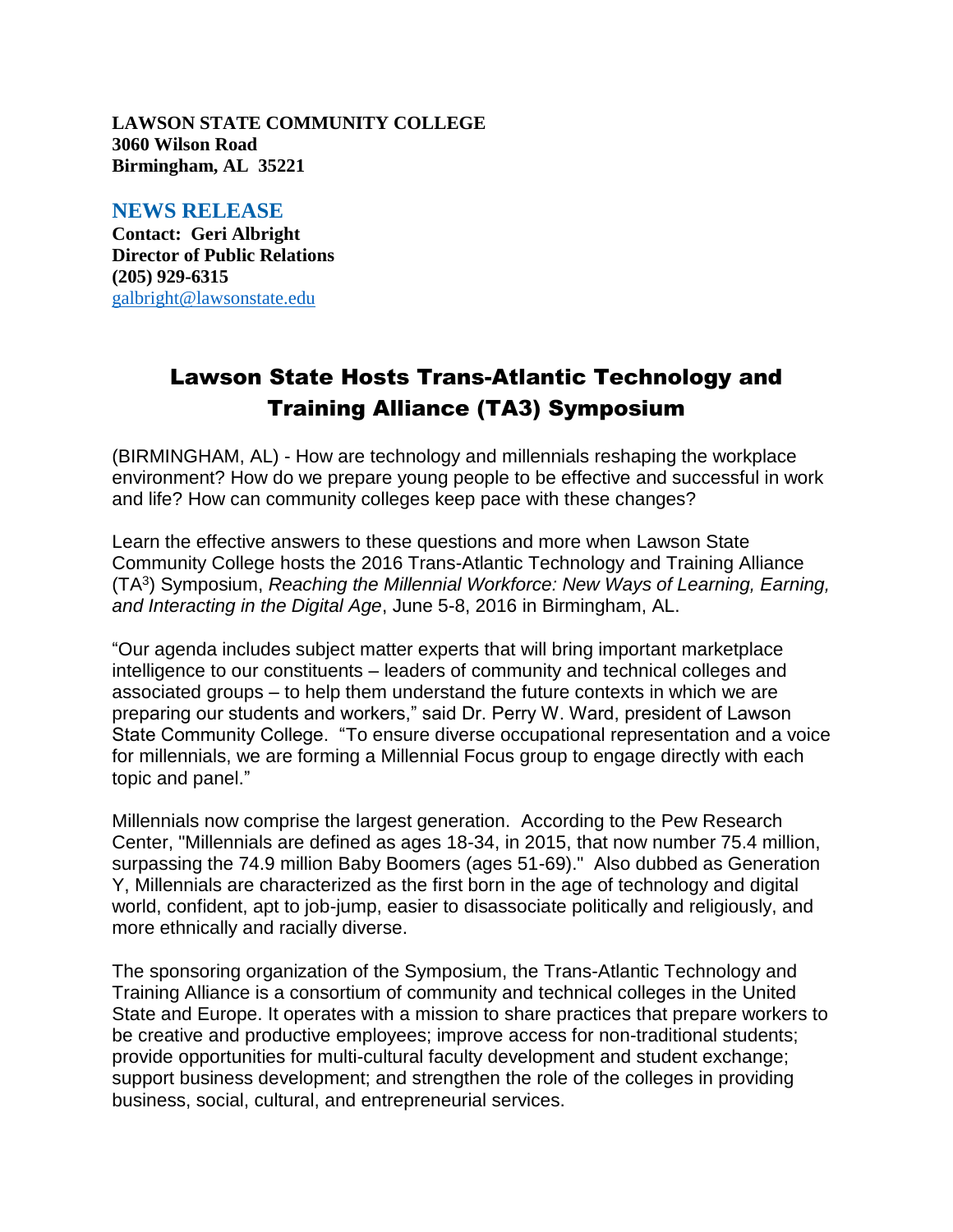**LAWSON STATE COMMUNITY COLLEGE 3060 Wilson Road Birmingham, AL 35221**

## **NEWS RELEASE**

**Contact: Geri Albright Director of Public Relations (205) 929-6315** [galbright@lawsonstate.edu](mailto:galbright@lawsonstate.edu)

## Lawson State Hosts Trans-Atlantic Technology and Training Alliance (TA3) Symposium

(BIRMINGHAM, AL) - How are technology and millennials reshaping the workplace environment? How do we prepare young people to be effective and successful in work and life? How can community colleges keep pace with these changes?

Learn the effective answers to these questions and more when Lawson State Community College hosts the 2016 Trans-Atlantic Technology and Training Alliance (TA<sup>3</sup> ) Symposium, *Reaching the Millennial Workforce: New Ways of Learning, Earning, and Interacting in the Digital Age*, June 5-8, 2016 in Birmingham, AL.

"Our agenda includes subject matter experts that will bring important marketplace intelligence to our constituents – leaders of community and technical colleges and associated groups – to help them understand the future contexts in which we are preparing our students and workers," said Dr. Perry W. Ward, president of Lawson State Community College. "To ensure diverse occupational representation and a voice for millennials, we are forming a Millennial Focus group to engage directly with each topic and panel."

Millennials now comprise the largest generation. According to the Pew Research Center, "Millennials are defined as ages 18-34, in 2015, that now number 75.4 million, surpassing the 74.9 million Baby Boomers (ages 51-69)." Also dubbed as Generation Y, Millennials are characterized as the first born in the age of technology and digital world, confident, apt to job-jump, easier to disassociate politically and religiously, and more ethnically and racially diverse.

The sponsoring organization of the Symposium, the Trans-Atlantic Technology and Training Alliance is a consortium of community and technical colleges in the United State and Europe. It operates with a mission to share practices that prepare workers to be creative and productive employees; improve access for non-traditional students; provide opportunities for multi-cultural faculty development and student exchange; support business development; and strengthen the role of the colleges in providing business, social, cultural, and entrepreneurial services.